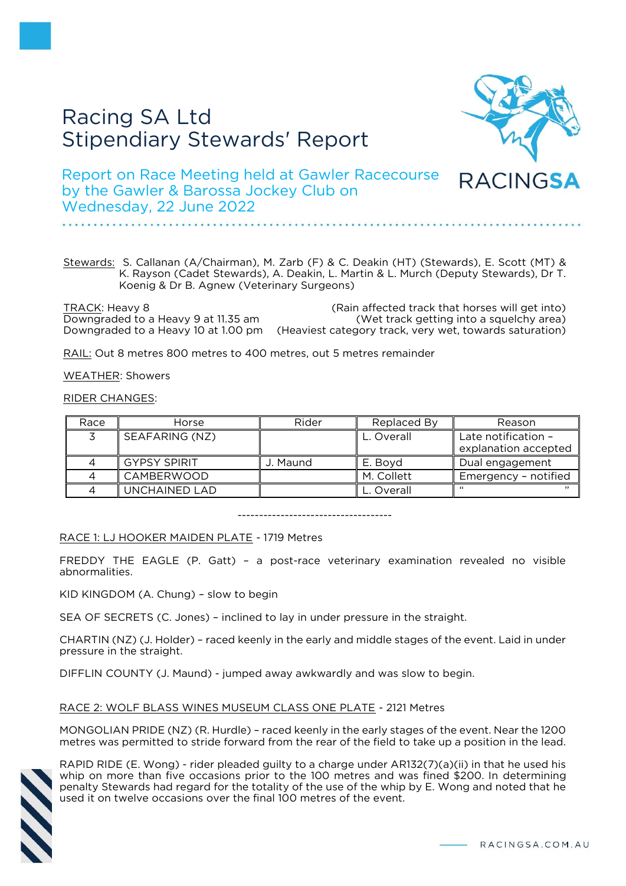# Racing SA Ltd Stipendiary Stewards' Report



Report on Race Meeting held at Gawler Racecourse by the Gawler & Barossa Jockey Club on Wednesday, 22 June 2022

Stewards: S. Callanan (A/Chairman), M. Zarb (F) & C. Deakin (HT) (Stewards), E. Scott (MT) & K. Rayson (Cadet Stewards), A. Deakin, L. Martin & L. Murch (Deputy Stewards), Dr T. Koenig & Dr B. Agnew (Veterinary Surgeons)

TRACK: Heavy 8 (Rain affected track that horses will get into) Downgraded to a Heavy 9 at 11.35 am (Wet track getting into a squelchy area) Downgraded to a Heavy 10 at 1.00 pm (Heaviest category track, very wet, towards saturation)

RAIL: Out 8 metres 800 metres to 400 metres, out 5 metres remainder

WEATHER: Showers

RIDER CHANGES:

| Race | Horse               | Rider    | Replaced By | Reason               |
|------|---------------------|----------|-------------|----------------------|
|      | SEAFARING (NZ)      |          | L. Overall  | Late notification -  |
|      |                     |          |             | explanation accepted |
|      | <b>GYPSY SPIRIT</b> | J. Maund | E. Boyd     | Dual engagement      |
|      | CAMBERWOOD          |          | M. Collett  | Emergency - notified |
|      | UNCHAINED LAD       |          | L. Overall  |                      |

------------------------------------

RACE 1: LJ HOOKER MAIDEN PLATE - 1719 Metres

FREDDY THE EAGLE (P. Gatt) – a post-race veterinary examination revealed no visible abnormalities.

KID KINGDOM (A. Chung) – slow to begin

SEA OF SECRETS (C. Jones) – inclined to lay in under pressure in the straight.

CHARTIN (NZ) (J. Holder) – raced keenly in the early and middle stages of the event. Laid in under pressure in the straight.

DIFFLIN COUNTY (J. Maund) - jumped away awkwardly and was slow to begin.

# RACE 2: WOLF BLASS WINES MUSEUM CLASS ONE PLATE - 2121 Metres

MONGOLIAN PRIDE (NZ) (R. Hurdle) – raced keenly in the early stages of the event. Near the 1200 metres was permitted to stride forward from the rear of the field to take up a position in the lead.



RAPID RIDE (E. Wong) - rider pleaded guilty to a charge under AR132(7)(a)(ii) in that he used his whip on more than five occasions prior to the 100 metres and was fined \$200. In determining penalty Stewards had regard for the totality of the use of the whip by E. Wong and noted that he used it on twelve occasions over the final 100 metres of the event.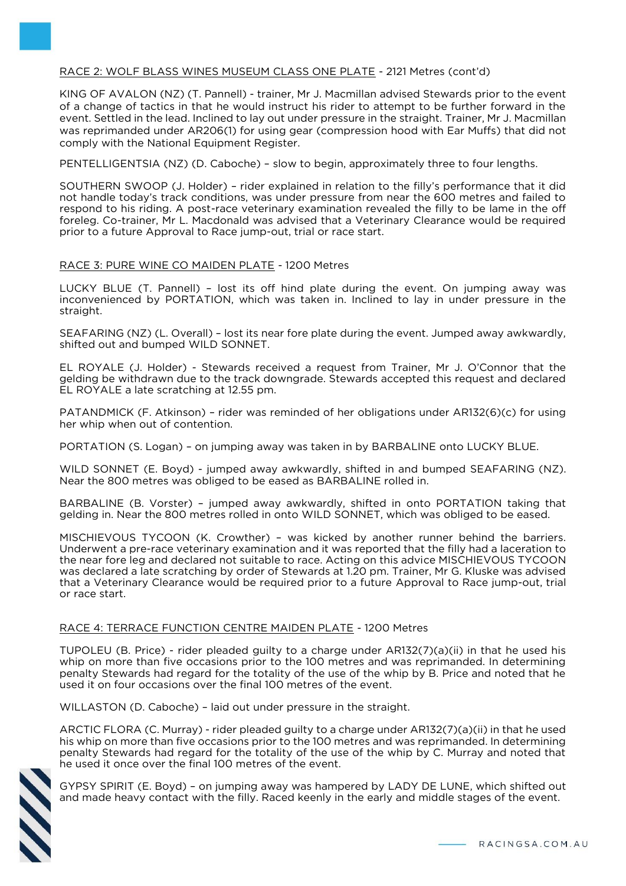# RACE 2: WOLF BLASS WINES MUSEUM CLASS ONE PLATE - 2121 Metres (cont'd)

KING OF AVALON (NZ) (T. Pannell) - trainer, Mr J. Macmillan advised Stewards prior to the event of a change of tactics in that he would instruct his rider to attempt to be further forward in the event. Settled in the lead. Inclined to lay out under pressure in the straight. Trainer, Mr J. Macmillan was reprimanded under AR206(1) for using gear (compression hood with Ear Muffs) that did not comply with the National Equipment Register.

PENTELLIGENTSIA (NZ) (D. Caboche) – slow to begin, approximately three to four lengths.

SOUTHERN SWOOP (J. Holder) – rider explained in relation to the filly's performance that it did not handle today's track conditions, was under pressure from near the 600 metres and failed to respond to his riding. A post-race veterinary examination revealed the filly to be lame in the off foreleg. Co-trainer, Mr L. Macdonald was advised that a Veterinary Clearance would be required prior to a future Approval to Race jump-out, trial or race start.

## RACE 3: PURE WINE CO MAIDEN PLATE - 1200 Metres

LUCKY BLUE (T. Pannell) – lost its off hind plate during the event. On jumping away was inconvenienced by PORTATION, which was taken in. Inclined to lay in under pressure in the straight.

SEAFARING (NZ) (L. Overall) – lost its near fore plate during the event. Jumped away awkwardly, shifted out and bumped WILD SONNET.

EL ROYALE (J. Holder) - Stewards received a request from Trainer, Mr J. O'Connor that the gelding be withdrawn due to the track downgrade. Stewards accepted this request and declared EL ROYALE a late scratching at 12.55 pm.

PATANDMICK (F. Atkinson) – rider was reminded of her obligations under AR132(6)(c) for using her whip when out of contention.

PORTATION (S. Logan) – on jumping away was taken in by BARBALINE onto LUCKY BLUE.

WILD SONNET (E. Boyd) - jumped away awkwardly, shifted in and bumped SEAFARING (NZ). Near the 800 metres was obliged to be eased as BARBALINE rolled in.

BARBALINE (B. Vorster) – jumped away awkwardly, shifted in onto PORTATION taking that gelding in. Near the 800 metres rolled in onto WILD SONNET, which was obliged to be eased.

MISCHIEVOUS TYCOON (K. Crowther) – was kicked by another runner behind the barriers. Underwent a pre-race veterinary examination and it was reported that the filly had a laceration to the near fore leg and declared not suitable to race. Acting on this advice MISCHIEVOUS TYCOON was declared a late scratching by order of Stewards at 1.20 pm. Trainer, Mr G. Kluske was advised that a Veterinary Clearance would be required prior to a future Approval to Race jump-out, trial or race start.

# RACE 4: TERRACE FUNCTION CENTRE MAIDEN PLATE - 1200 Metres

TUPOLEU (B. Price) - rider pleaded guilty to a charge under AR132(7)(a)(ii) in that he used his whip on more than five occasions prior to the 100 metres and was reprimanded. In determining penalty Stewards had regard for the totality of the use of the whip by B. Price and noted that he used it on four occasions over the final 100 metres of the event.

WILLASTON (D. Caboche) – laid out under pressure in the straight.

ARCTIC FLORA (C. Murray) - rider pleaded guilty to a charge under AR132(7)(a)(ii) in that he used his whip on more than five occasions prior to the 100 metres and was reprimanded. In determining penalty Stewards had regard for the totality of the use of the whip by C. Murray and noted that he used it once over the final 100 metres of the event.



GYPSY SPIRIT (E. Boyd) – on jumping away was hampered by LADY DE LUNE, which shifted out and made heavy contact with the filly. Raced keenly in the early and middle stages of the event.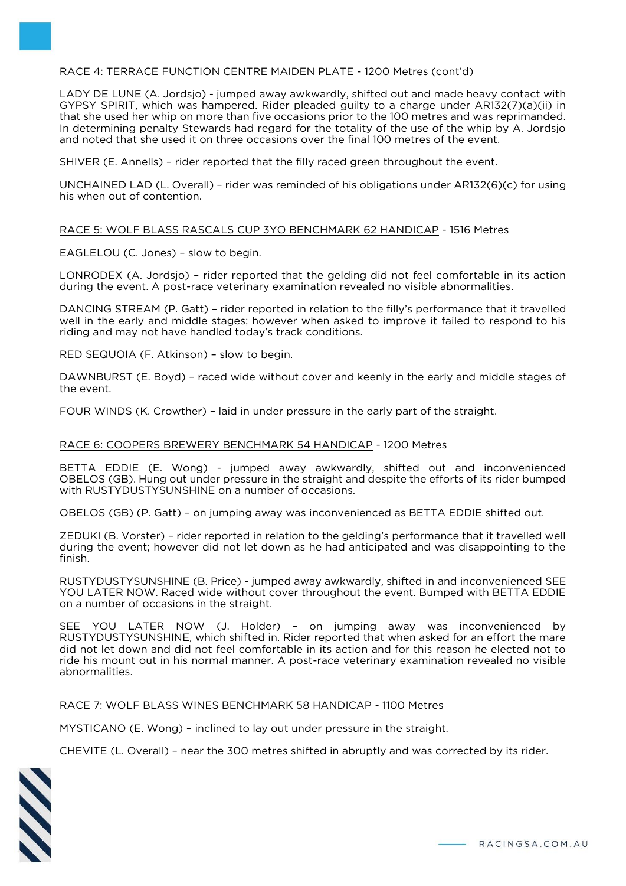# RACE 4: TERRACE FUNCTION CENTRE MAIDEN PLATE - 1200 Metres (cont'd)

LADY DE LUNE (A. Jordsjo) - jumped away awkwardly, shifted out and made heavy contact with GYPSY SPIRIT, which was hampered. Rider pleaded guilty to a charge under AR132(7)(a)(ii) in that she used her whip on more than five occasions prior to the 100 metres and was reprimanded. In determining penalty Stewards had regard for the totality of the use of the whip by A. Jordsjo and noted that she used it on three occasions over the final 100 metres of the event.

SHIVER (E. Annells) – rider reported that the filly raced green throughout the event.

UNCHAINED LAD (L. Overall) – rider was reminded of his obligations under AR132(6)(c) for using his when out of contention.

## RACE 5: WOLF BLASS RASCALS CUP 3YO BENCHMARK 62 HANDICAP - 1516 Metres

EAGLELOU (C. Jones) – slow to begin.

LONRODEX (A. Jordsjo) – rider reported that the gelding did not feel comfortable in its action during the event. A post-race veterinary examination revealed no visible abnormalities.

DANCING STREAM (P. Gatt) – rider reported in relation to the filly's performance that it travelled well in the early and middle stages; however when asked to improve it failed to respond to his riding and may not have handled today's track conditions.

RED SEQUOIA (F. Atkinson) – slow to begin.

DAWNBURST (E. Boyd) – raced wide without cover and keenly in the early and middle stages of the event.

FOUR WINDS (K. Crowther) – laid in under pressure in the early part of the straight.

#### RACE 6: COOPERS BREWERY BENCHMARK 54 HANDICAP - 1200 Metres

BETTA EDDIE (E. Wong) - jumped away awkwardly, shifted out and inconvenienced OBELOS (GB). Hung out under pressure in the straight and despite the efforts of its rider bumped with RUSTYDUSTYSUNSHINE on a number of occasions.

OBELOS (GB) (P. Gatt) – on jumping away was inconvenienced as BETTA EDDIE shifted out.

ZEDUKI (B. Vorster) – rider reported in relation to the gelding's performance that it travelled well during the event; however did not let down as he had anticipated and was disappointing to the finish.

RUSTYDUSTYSUNSHINE (B. Price) - jumped away awkwardly, shifted in and inconvenienced SEE YOU LATER NOW. Raced wide without cover throughout the event. Bumped with BETTA EDDIE on a number of occasions in the straight.

SEE YOU LATER NOW (J. Holder) – on jumping away was inconvenienced by RUSTYDUSTYSUNSHINE, which shifted in. Rider reported that when asked for an effort the mare did not let down and did not feel comfortable in its action and for this reason he elected not to ride his mount out in his normal manner. A post-race veterinary examination revealed no visible abnormalities.

#### RACE 7: WOLF BLASS WINES BENCHMARK 58 HANDICAP - 1100 Metres

MYSTICANO (E. Wong) – inclined to lay out under pressure in the straight.

CHEVITE (L. Overall) – near the 300 metres shifted in abruptly and was corrected by its rider.

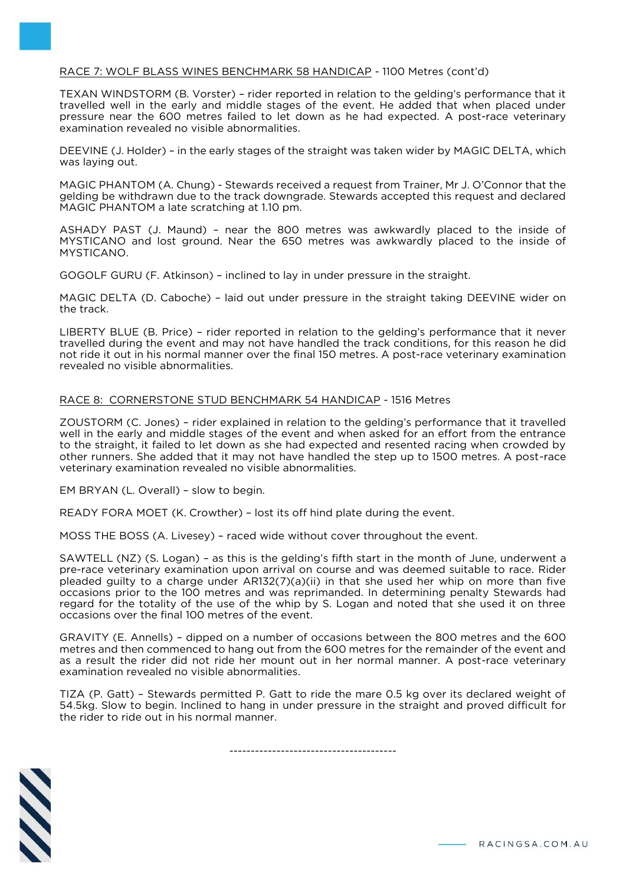## RACE 7: WOLF BLASS WINES BENCHMARK 58 HANDICAP - 1100 Metres (cont'd)

TEXAN WINDSTORM (B. Vorster) – rider reported in relation to the gelding's performance that it travelled well in the early and middle stages of the event. He added that when placed under pressure near the 600 metres failed to let down as he had expected. A post-race veterinary examination revealed no visible abnormalities.

DEEVINE (J. Holder) – in the early stages of the straight was taken wider by MAGIC DELTA, which was laying out.

MAGIC PHANTOM (A. Chung) - Stewards received a request from Trainer, Mr J. O'Connor that the gelding be withdrawn due to the track downgrade. Stewards accepted this request and declared MAGIC PHANTOM a late scratching at 1.10 pm.

ASHADY PAST (J. Maund) – near the 800 metres was awkwardly placed to the inside of MYSTICANO and lost ground. Near the 650 metres was awkwardly placed to the inside of MYSTICANO.

GOGOLF GURU (F. Atkinson) – inclined to lay in under pressure in the straight.

MAGIC DELTA (D. Caboche) – laid out under pressure in the straight taking DEEVINE wider on the track.

LIBERTY BLUE (B. Price) – rider reported in relation to the gelding's performance that it never travelled during the event and may not have handled the track conditions, for this reason he did not ride it out in his normal manner over the final 150 metres. A post-race veterinary examination revealed no visible abnormalities.

#### RACE 8: CORNERSTONE STUD BENCHMARK 54 HANDICAP - 1516 Metres

ZOUSTORM (C. Jones) – rider explained in relation to the gelding's performance that it travelled well in the early and middle stages of the event and when asked for an effort from the entrance to the straight, it failed to let down as she had expected and resented racing when crowded by other runners. She added that it may not have handled the step up to 1500 metres. A post-race veterinary examination revealed no visible abnormalities.

EM BRYAN (L. Overall) – slow to begin.

READY FORA MOET (K. Crowther) – lost its off hind plate during the event.

MOSS THE BOSS (A. Livesey) – raced wide without cover throughout the event.

SAWTELL (NZ) (S. Logan) – as this is the gelding's fifth start in the month of June, underwent a pre-race veterinary examination upon arrival on course and was deemed suitable to race. Rider pleaded guilty to a charge under AR132(7)(a)(ii) in that she used her whip on more than five occasions prior to the 100 metres and was reprimanded. In determining penalty Stewards had regard for the totality of the use of the whip by S. Logan and noted that she used it on three occasions over the final 100 metres of the event.

GRAVITY (E. Annells) – dipped on a number of occasions between the 800 metres and the 600 metres and then commenced to hang out from the 600 metres for the remainder of the event and as a result the rider did not ride her mount out in her normal manner. A post-race veterinary examination revealed no visible abnormalities.

TIZA (P. Gatt) – Stewards permitted P. Gatt to ride the mare 0.5 kg over its declared weight of 54.5kg. Slow to begin. Inclined to hang in under pressure in the straight and proved difficult for the rider to ride out in his normal manner.

---------------------------------------